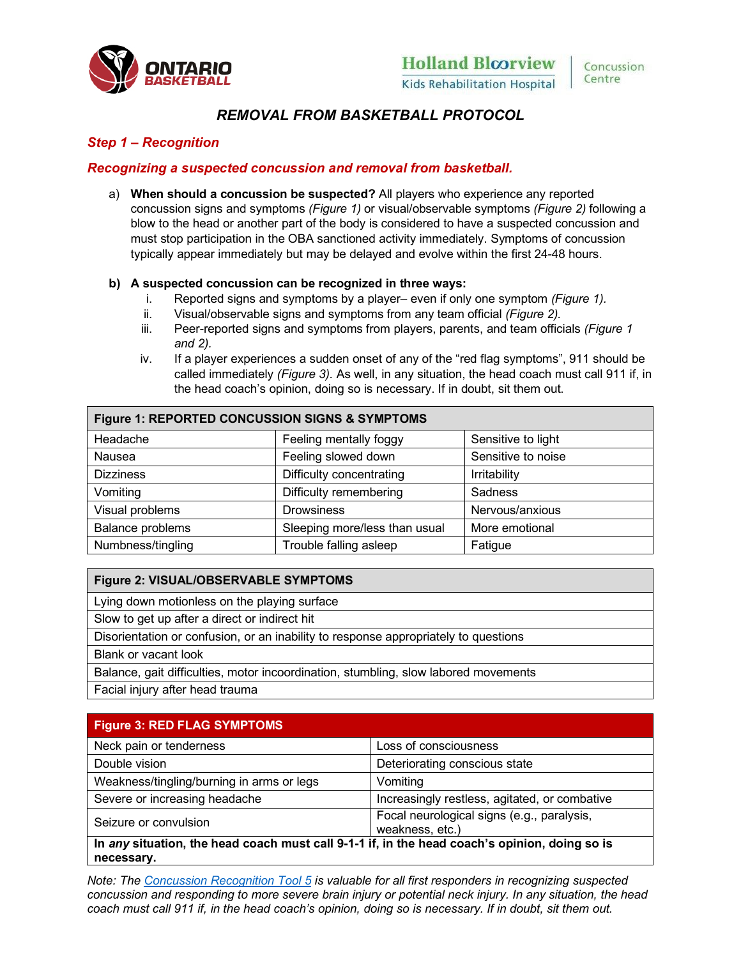

# *REMOVAL FROM BASKETBALL PROTOCOL*

# *Step 1 – Recognition*

# *Recognizing a suspected concussion and removal from basketball.*

a) **When should a concussion be suspected?** All players who experience any reported concussion signs and symptoms *(Figure 1)* or visual/observable symptoms *(Figure 2)* following a blow to the head or another part of the body is considered to have a suspected concussion and must stop participation in the OBA sanctioned activity immediately. Symptoms of concussion typically appear immediately but may be delayed and evolve within the first 24-48 hours.

### **b) A suspected concussion can be recognized in three ways:**

- i. Reported signs and symptoms by a player– even if only one symptom *(Figure 1).*
- ii. Visual/observable signs and symptoms from any team official *(Figure 2).*
- iii. Peer-reported signs and symptoms from players, parents, and team officials *(Figure 1 and 2).*
- iv. If a player experiences a sudden onset of any of the "red flag symptoms", 911 should be called immediately *(Figure 3).* As well, in any situation, the head coach must call 911 if, in the head coach's opinion, doing so is necessary. If in doubt, sit them out.

| Figure 1: REPORTED CONCUSSION SIGNS & SYMPTOMS |                               |                    |
|------------------------------------------------|-------------------------------|--------------------|
| Headache                                       | Feeling mentally foggy        | Sensitive to light |
| Nausea                                         | Feeling slowed down           | Sensitive to noise |
| <b>Dizziness</b>                               | Difficulty concentrating      | Irritability       |
| Vomiting                                       | Difficulty remembering        | Sadness            |
| Visual problems                                | <b>Drowsiness</b>             | Nervous/anxious    |
| Balance problems                               | Sleeping more/less than usual | More emotional     |
| Numbness/tingling                              | Trouble falling asleep        | Fatigue            |

### **Figure 2: VISUAL/OBSERVABLE SYMPTOMS**

Lying down motionless on the playing surface

Slow to get up after a direct or indirect hit

Disorientation or confusion, or an inability to response appropriately to questions

Blank or vacant look

Balance, gait difficulties, motor incoordination, stumbling, slow labored movements

Facial injury after head trauma

| <b>Figure 3: RED FLAG SYMPTOMS</b>                                                            |                                                               |  |
|-----------------------------------------------------------------------------------------------|---------------------------------------------------------------|--|
| Neck pain or tenderness                                                                       | Loss of consciousness                                         |  |
| Double vision                                                                                 | Deteriorating conscious state                                 |  |
| Weakness/tingling/burning in arms or legs                                                     | Vomiting                                                      |  |
| Severe or increasing headache                                                                 | Increasingly restless, agitated, or combative                 |  |
| Seizure or convulsion                                                                         | Focal neurological signs (e.g., paralysis,<br>weakness, etc.) |  |
| In any situation, the head coach must call 9-1-1 if, in the head coach's opinion, doing so is |                                                               |  |
| necessary.                                                                                    |                                                               |  |

*Note: Th[e Concussion Recognition Tool 5](http://www.sportphysio.ca/wp-content/uploads/The-Concussion-Recognition-Tool-5-CRT5-.pdf) is valuable for all first responders in recognizing suspected concussion and responding to more severe brain injury or potential neck injury. In any situation, the head coach must call 911 if, in the head coach's opinion, doing so is necessary. If in doubt, sit them out.*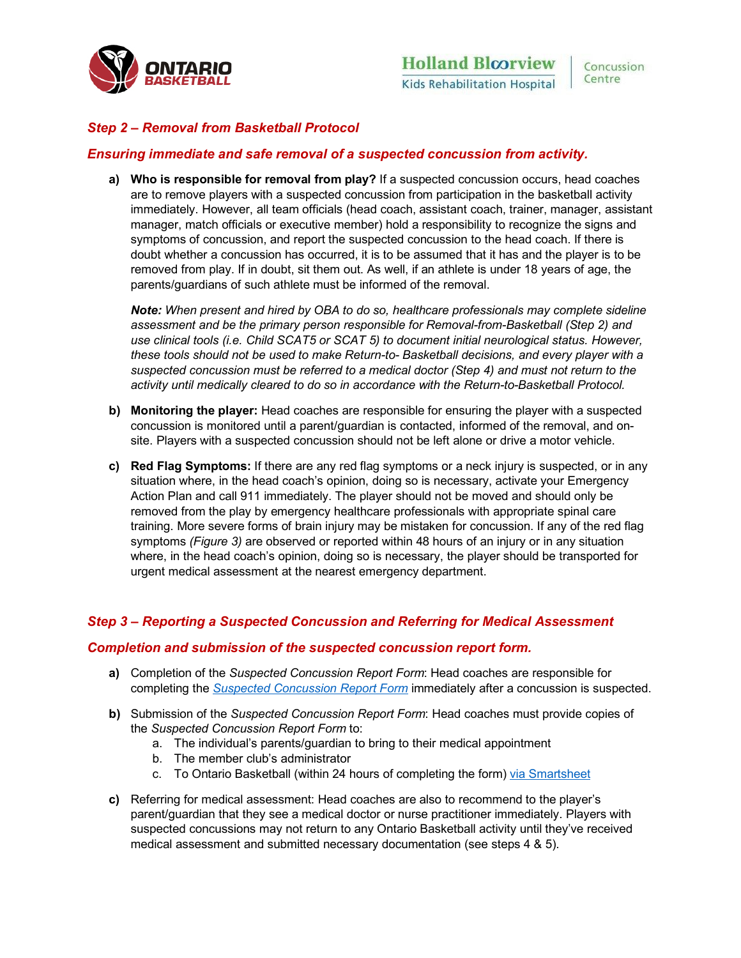

# *Step 2 – Removal from Basketball Protocol*

### *Ensuring immediate and safe removal of a suspected concussion from activity.*

**a) Who is responsible for removal from play?** If a suspected concussion occurs, head coaches are to remove players with a suspected concussion from participation in the basketball activity immediately. However, all team officials (head coach, assistant coach, trainer, manager, assistant manager, match officials or executive member) hold a responsibility to recognize the signs and symptoms of concussion, and report the suspected concussion to the head coach. If there is doubt whether a concussion has occurred, it is to be assumed that it has and the player is to be removed from play. If in doubt, sit them out. As well, if an athlete is under 18 years of age, the parents/guardians of such athlete must be informed of the removal.

*Note: When present and hired by OBA to do so, healthcare professionals may complete sideline assessment and be the primary person responsible for Removal-from-Basketball (Step 2) and use clinical tools (i.e. Child SCAT5 or SCAT 5) to document initial neurological status. However, these tools should not be used to make Return-to- Basketball decisions, and every player with a suspected concussion must be referred to a medical doctor (Step 4) and must not return to the activity until medically cleared to do so in accordance with the Return-to-Basketball Protocol.*

- **b) Monitoring the player:** Head coaches are responsible for ensuring the player with a suspected concussion is monitored until a parent/guardian is contacted, informed of the removal, and onsite. Players with a suspected concussion should not be left alone or drive a motor vehicle.
- **c) Red Flag Symptoms:** If there are any red flag symptoms or a neck injury is suspected, or in any situation where, in the head coach's opinion, doing so is necessary, activate your Emergency Action Plan and call 911 immediately. The player should not be moved and should only be removed from the play by emergency healthcare professionals with appropriate spinal care training. More severe forms of brain injury may be mistaken for concussion. If any of the red flag symptoms *(Figure 3)* are observed or reported within 48 hours of an injury or in any situation where, in the head coach's opinion, doing so is necessary, the player should be transported for urgent medical assessment at the nearest emergency department.

# *Step 3 – Reporting a Suspected Concussion and Referring for Medical Assessment*

#### *Completion and submission of the suspected concussion report form.*

- **a)** Completion of the *Suspected Concussion Report Form*: Head coaches are responsible for completing the *[Suspected Concussion Report Form](https://basketball.on.ca/wp-content/uploads/2021/12/Suspected-Concussion-Report-Form-Ontario-Basketball.pdf)* immediately after a concussion is suspected.
- **b)** Submission of the *Suspected Concussion Report Form*: Head coaches must provide copies of the *Suspected Concussion Report Form* to:
	- a. The individual's parents/guardian to bring to their medical appointment
	- b. The member club's administrator
	- c. To Ontario Basketball (within 24 hours of completing the form) [via Smartsheet](https://app.smartsheet.com/b/form/d5ef0482f06143b7b4ab106580457eb3)
- **c)** Referring for medical assessment: Head coaches are also to recommend to the player's parent/guardian that they see a medical doctor or nurse practitioner immediately. Players with suspected concussions may not return to any Ontario Basketball activity until they've received medical assessment and submitted necessary documentation (see steps 4 & 5).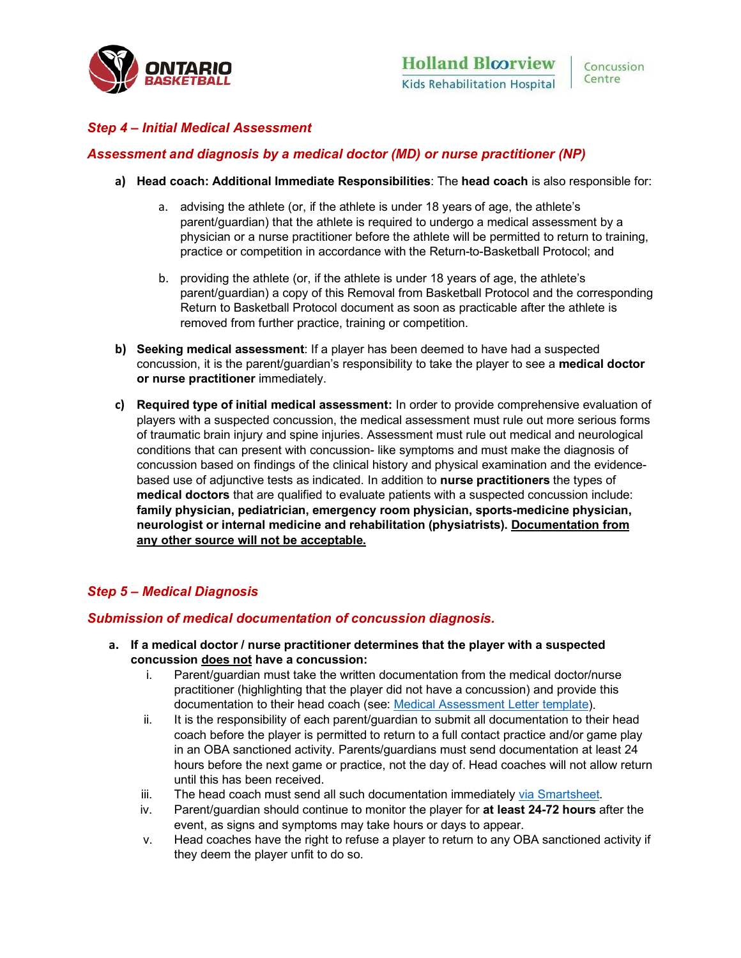

# *Step 4 – Initial Medical Assessment*

### *Assessment and diagnosis by a medical doctor (MD) or nurse practitioner (NP)*

- **a) Head coach: Additional Immediate Responsibilities**: The **head coach** is also responsible for:
	- a. advising the athlete (or, if the athlete is under 18 years of age, the athlete's parent/guardian) that the athlete is required to undergo a medical assessment by a physician or a nurse practitioner before the athlete will be permitted to return to training, practice or competition in accordance with the Return-to-Basketball Protocol; and
	- b. providing the athlete (or, if the athlete is under 18 years of age, the athlete's parent/guardian) a copy of this Removal from Basketball Protocol and the corresponding Return to Basketball Protocol document as soon as practicable after the athlete is removed from further practice, training or competition.
- **b) Seeking medical assessment**: If a player has been deemed to have had a suspected concussion, it is the parent/guardian's responsibility to take the player to see a **medical doctor or nurse practitioner** immediately.
- **c) Required type of initial medical assessment:** In order to provide comprehensive evaluation of players with a suspected concussion, the medical assessment must rule out more serious forms of traumatic brain injury and spine injuries. Assessment must rule out medical and neurological conditions that can present with concussion- like symptoms and must make the diagnosis of concussion based on findings of the clinical history and physical examination and the evidencebased use of adjunctive tests as indicated. In addition to **nurse practitioners** the types of **medical doctors** that are qualified to evaluate patients with a suspected concussion include: **family physician, pediatrician, emergency room physician, sports-medicine physician, neurologist or internal medicine and rehabilitation (physiatrists). Documentation from any other source will not be acceptable.**

# *Step 5 – Medical Diagnosis*

### *Submission of medical documentation of concussion diagnosis.*

- **a. If a medical doctor / nurse practitioner determines that the player with a suspected concussion does not have a concussion:**
	- i. Parent/guardian must take the written documentation from the medical doctor/nurse practitioner (highlighting that the player did not have a concussion) and provide this documentation to their head coach (see: [Medical Assessment Letter template\)](https://basketball.on.ca/wp-content/uploads/2021/12/Medical-Assessment-Letter.pdf).
	- ii. It is the responsibility of each parent/guardian to submit all documentation to their head coach before the player is permitted to return to a full contact practice and/or game play in an OBA sanctioned activity. Parents/guardians must send documentation at least 24 hours before the next game or practice, not the day of. Head coaches will not allow return until this has been received.
	- iii. The head coach must send all such documentation immediately [via Smartsheet.](https://app.smartsheet.com/b/form/d5ef0482f06143b7b4ab106580457eb3)
	- iv. Parent/guardian should continue to monitor the player for **at least 24-72 hours** after the event, as signs and symptoms may take hours or days to appear.
	- v. Head coaches have the right to refuse a player to return to any OBA sanctioned activity if they deem the player unfit to do so.